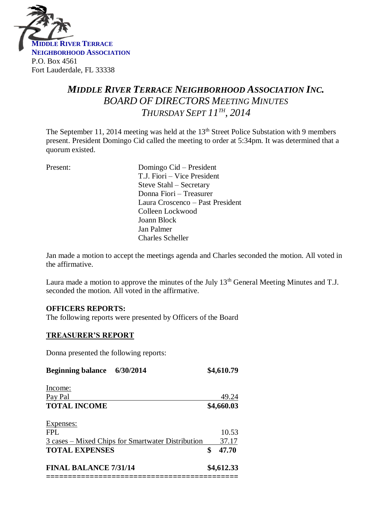

# *MIDDLE RIVER TERRACE NEIGHBORHOOD ASSOCIATION INC. BOARD OF DIRECTORS MEETING MINUTES THURSDAY SEPT 11 TH , 2014*

The September 11, 2014 meeting was held at the 13<sup>th</sup> Street Police Substation with 9 members present. President Domingo Cid called the meeting to order at 5:34pm. It was determined that a quorum existed.

| Present: | Domingo Cid – President          |
|----------|----------------------------------|
|          | T.J. Fiori – Vice President      |
|          | Steve Stahl – Secretary          |
|          | Donna Fiori – Treasurer          |
|          | Laura Croscenco – Past President |
|          | Colleen Lockwood                 |
|          | Joann Block                      |
|          | Jan Palmer                       |
|          | <b>Charles Scheller</b>          |
|          |                                  |

Jan made a motion to accept the meetings agenda and Charles seconded the motion. All voted in the affirmative.

Laura made a motion to approve the minutes of the July 13<sup>th</sup> General Meeting Minutes and T.J. seconded the motion. All voted in the affirmative.

#### **OFFICERS REPORTS:**

The following reports were presented by Officers of the Board

#### **TREASURER'S REPORT**

Donna presented the following reports:

| Beginning balance 6/30/2014  |                                                   | \$4,610.79 |  |
|------------------------------|---------------------------------------------------|------------|--|
|                              |                                                   |            |  |
|                              |                                                   | 49.24      |  |
|                              |                                                   | \$4,660.03 |  |
|                              |                                                   |            |  |
|                              |                                                   | 10.53      |  |
|                              |                                                   | 37.17      |  |
| <b>TOTAL EXPENSES</b>        | \$                                                | 47.70      |  |
| <b>FINAL BALANCE 7/31/14</b> |                                                   | \$4,612.33 |  |
|                              | 3 cases – Mixed Chips for Smartwater Distribution |            |  |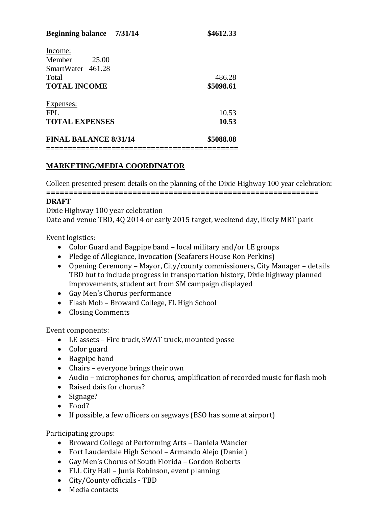| <b>FINAL BALANCE 8/31/14</b> |       | \$5088.08 |
|------------------------------|-------|-----------|
| <b>TOTAL EXPENSES</b>        |       | 10.53     |
| <b>FPL</b>                   |       | 10.53     |
| Expenses:                    |       |           |
| <b>TOTAL INCOME</b>          |       | \$5098.61 |
| Total                        |       | 486.28    |
| SmartWater 461.28            |       |           |
| Member                       | 25.00 |           |
| Income:                      |       |           |

#### **MARKETING/MEDIA COORDINATOR**

Colleen presented present details on the planning of the Dixie Highway 100 year celebration: **============================================================**

#### **DRAFT**

Dixie Highway 100 year celebration Date and venue TBD, 4Q 2014 or early 2015 target, weekend day, likely MRT park

Event logistics:

- Color Guard and Bagpipe band local military and/or LE groups
- Pledge of Allegiance, Invocation (Seafarers House Ron Perkins)
- Opening Ceremony Mayor, City/county commissioners, City Manager details TBD but to include progress in transportation history, Dixie highway planned improvements, student art from SM campaign displayed
- Gay Men's Chorus performance
- Flash Mob Broward College, FL High School
- Closing Comments

Event components:

- LE assets Fire truck, SWAT truck, mounted posse
- Color guard
- Bagpipe band
- Chairs everyone brings their own
- Audio microphones for chorus, amplification of recorded music for flash mob
- Raised dais for chorus?
- Signage?
- Food?
- If possible, a few officers on segways (BSO has some at airport)

Participating groups:

- Broward College of Performing Arts Daniela Wancier
- Fort Lauderdale High School Armando Alejo (Daniel)
- Gay Men's Chorus of South Florida Gordon Roberts
- FLL City Hall Junia Robinson, event planning
- City/County officials TBD
- Media contacts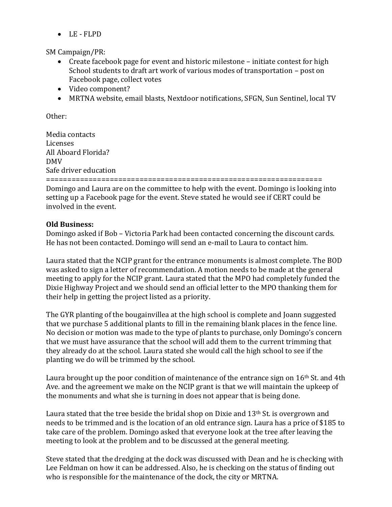LE - FLPD

SM Campaign/PR:

- Create facebook page for event and historic milestone initiate contest for high School students to draft art work of various modes of transportation – post on Facebook page, collect votes
- Video component?
- MRTNA website, email blasts, Nextdoor notifications, SFGN, Sun Sentinel, local TV

Other:

Media contacts Licenses All Aboard Florida? DMV Safe driver education =================================================================

Domingo and Laura are on the committee to help with the event. Domingo is looking into setting up a Facebook page for the event. Steve stated he would see if CERT could be involved in the event.

## **Old Business:**

Domingo asked if Bob – Victoria Park had been contacted concerning the discount cards. He has not been contacted. Domingo will send an e-mail to Laura to contact him.

Laura stated that the NCIP grant for the entrance monuments is almost complete. The BOD was asked to sign a letter of recommendation. A motion needs to be made at the general meeting to apply for the NCIP grant. Laura stated that the MPO had completely funded the Dixie Highway Project and we should send an official letter to the MPO thanking them for their help in getting the project listed as a priority.

The GYR planting of the bougainvillea at the high school is complete and Joann suggested that we purchase 5 additional plants to fill in the remaining blank places in the fence line. No decision or motion was made to the type of plants to purchase, only Domingo's concern that we must have assurance that the school will add them to the current trimming that they already do at the school. Laura stated she would call the high school to see if the planting we do will be trimmed by the school.

Laura brought up the poor condition of maintenance of the entrance sign on 16<sup>th</sup> St. and 4th Ave. and the agreement we make on the NCIP grant is that we will maintain the upkeep of the monuments and what she is turning in does not appear that is being done.

Laura stated that the tree beside the bridal shop on Dixie and  $13<sup>th</sup>$  St. is overgrown and needs to be trimmed and is the location of an old entrance sign. Laura has a price of \$185 to take care of the problem. Domingo asked that everyone look at the tree after leaving the meeting to look at the problem and to be discussed at the general meeting.

Steve stated that the dredging at the dock was discussed with Dean and he is checking with Lee Feldman on how it can be addressed. Also, he is checking on the status of finding out who is responsible for the maintenance of the dock, the city or MRTNA.